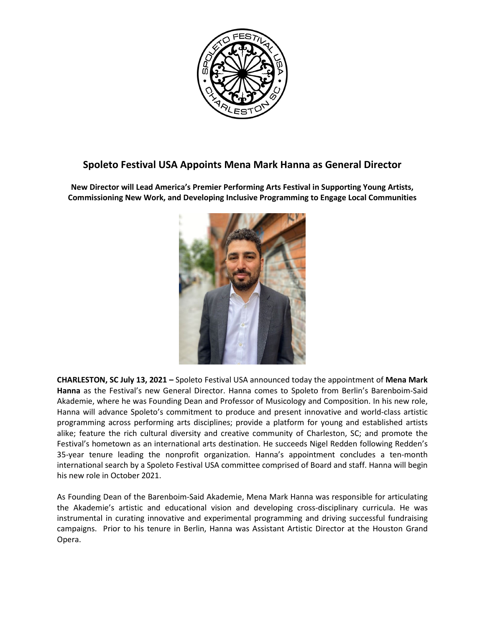

## **Spoleto Festival USA Appoints Mena Mark Hanna as General Director**

**New Director will Lead America's Premier Performing Arts Festival in Supporting Young Artists, Commissioning New Work, and Developing Inclusive Programming to Engage Local Communities**



**CHARLESTON, SC July 13, 2021 –** Spoleto Festival USA announced today the appointment of **Mena Mark Hanna** as the Festival's new General Director. Hanna comes to Spoleto from Berlin's Barenboim-Said Akademie, where he was Founding Dean and Professor of Musicology and Composition. In his new role, Hanna will advance Spoleto's commitment to produce and present innovative and world-class artistic programming across performing arts disciplines; provide a platform for young and established artists alike; feature the rich cultural diversity and creative community of Charleston, SC; and promote the Festival's hometown as an international arts destination. He succeeds Nigel Redden following Redden's 35-year tenure leading the nonprofit organization. Hanna's appointment concludes a ten-month international search by a Spoleto Festival USA committee comprised of Board and staff. Hanna will begin his new role in October 2021.

As Founding Dean of the Barenboim-Said Akademie, Mena Mark Hanna was responsible for articulating the Akademie's artistic and educational vision and developing cross-disciplinary curricula. He was instrumental in curating innovative and experimental programming and driving successful fundraising campaigns. Prior to his tenure in Berlin, Hanna was Assistant Artistic Director at the Houston Grand Opera.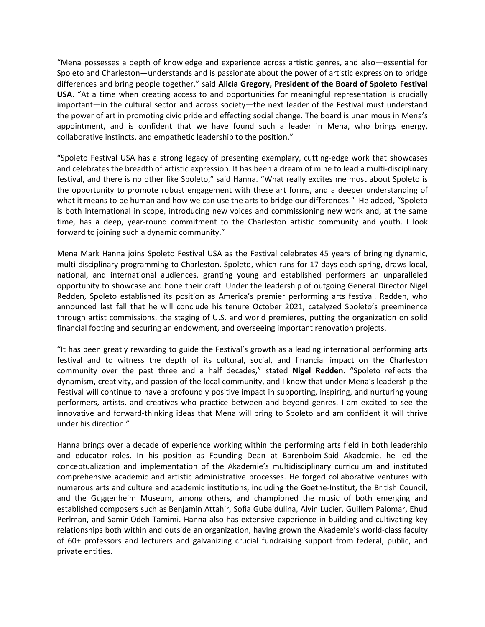"Mena possesses a depth of knowledge and experience across artistic genres, and also—essential for Spoleto and Charleston—understands and is passionate about the power of artistic expression to bridge differences and bring people together," said **Alicia Gregory, President of the Board of Spoleto Festival USA**. "At a time when creating access to and opportunities for meaningful representation is crucially important—in the cultural sector and across society—the next leader of the Festival must understand the power of art in promoting civic pride and effecting social change. The board is unanimous in Mena's appointment, and is confident that we have found such a leader in Mena, who brings energy, collaborative instincts, and empathetic leadership to the position."

"Spoleto Festival USA has a strong legacy of presenting exemplary, cutting-edge work that showcases and celebrates the breadth of artistic expression. It has been a dream of mine to lead a multi-disciplinary festival, and there is no other like Spoleto," said Hanna. "What really excites me most about Spoleto is the opportunity to promote robust engagement with these art forms, and a deeper understanding of what it means to be human and how we can use the arts to bridge our differences." He added, "Spoleto is both international in scope, introducing new voices and commissioning new work and, at the same time, has a deep, year-round commitment to the Charleston artistic community and youth. I look forward to joining such a dynamic community."

Mena Mark Hanna joins Spoleto Festival USA as the Festival celebrates 45 years of bringing dynamic, multi-disciplinary programming to Charleston. Spoleto, which runs for 17 days each spring, draws local, national, and international audiences, granting young and established performers an unparalleled opportunity to showcase and hone their craft. Under the leadership of outgoing General Director Nigel Redden, Spoleto established its position as America's premier performing arts festival. Redden, who announced last fall that he will conclude his tenure October 2021, catalyzed Spoleto's preeminence through artist commissions, the staging of U.S. and world premieres, putting the organization on solid financial footing and securing an endowment, and overseeing important renovation projects.

"It has been greatly rewarding to guide the Festival's growth as a leading international performing arts festival and to witness the depth of its cultural, social, and financial impact on the Charleston community over the past three and a half decades," stated **Nigel Redden**. "Spoleto reflects the dynamism, creativity, and passion of the local community, and I know that under Mena's leadership the Festival will continue to have a profoundly positive impact in supporting, inspiring, and nurturing young performers, artists, and creatives who practice between and beyond genres. I am excited to see the innovative and forward-thinking ideas that Mena will bring to Spoleto and am confident it will thrive under his direction."

Hanna brings over a decade of experience working within the performing arts field in both leadership and educator roles. In his position as Founding Dean at Barenboim-Said Akademie, he led the conceptualization and implementation of the Akademie's multidisciplinary curriculum and instituted comprehensive academic and artistic administrative processes. He forged collaborative ventures with numerous arts and culture and academic institutions, including the Goethe-Institut, the British Council, and the Guggenheim Museum, among others, and championed the music of both emerging and established composers such as Benjamin Attahir, Sofia Gubaidulina, Alvin Lucier, Guillem Palomar, Ehud Perlman, and Samir Odeh Tamimi. Hanna also has extensive experience in building and cultivating key relationships both within and outside an organization, having grown the Akademie's world-class faculty of 60+ professors and lecturers and galvanizing crucial fundraising support from federal, public, and private entities.